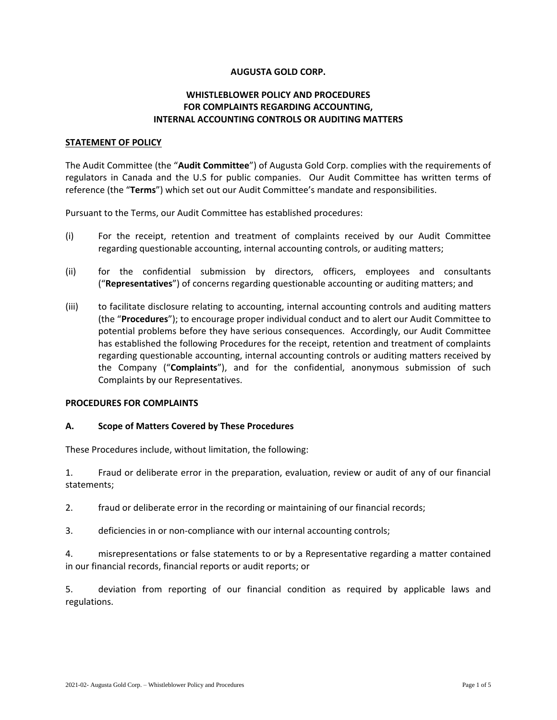### **AUGUSTA GOLD CORP.**

# **WHISTLEBLOWER POLICY AND PROCEDURES FOR COMPLAINTS REGARDING ACCOUNTING, INTERNAL ACCOUNTING CONTROLS OR AUDITING MATTERS**

#### **STATEMENT OF POLICY**

The Audit Committee (the "**Audit Committee**") of Augusta Gold Corp. complies with the requirements of regulators in Canada and the U.S for public companies. Our Audit Committee has written terms of reference (the "**Terms**") which set out our Audit Committee's mandate and responsibilities.

Pursuant to the Terms, our Audit Committee has established procedures:

- (i) For the receipt, retention and treatment of complaints received by our Audit Committee regarding questionable accounting, internal accounting controls, or auditing matters;
- (ii) for the confidential submission by directors, officers, employees and consultants ("**Representatives**") of concerns regarding questionable accounting or auditing matters; and
- (iii) to facilitate disclosure relating to accounting, internal accounting controls and auditing matters (the "**Procedures**"); to encourage proper individual conduct and to alert our Audit Committee to potential problems before they have serious consequences. Accordingly, our Audit Committee has established the following Procedures for the receipt, retention and treatment of complaints regarding questionable accounting, internal accounting controls or auditing matters received by the Company ("**Complaints**"), and for the confidential, anonymous submission of such Complaints by our Representatives.

#### **PROCEDURES FOR COMPLAINTS**

#### **A. Scope of Matters Covered by These Procedures**

These Procedures include, without limitation, the following:

1. Fraud or deliberate error in the preparation, evaluation, review or audit of any of our financial statements;

2. fraud or deliberate error in the recording or maintaining of our financial records;

3. deficiencies in or non-compliance with our internal accounting controls;

4. misrepresentations or false statements to or by a Representative regarding a matter contained in our financial records, financial reports or audit reports; or

5. deviation from reporting of our financial condition as required by applicable laws and regulations.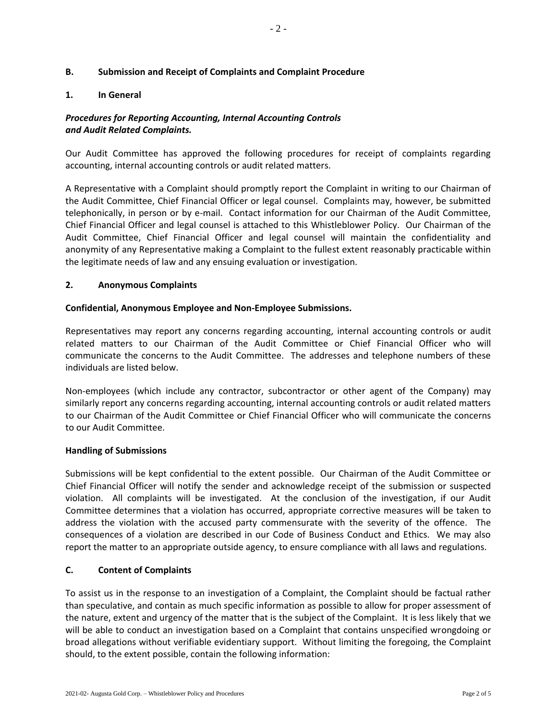## **B. Submission and Receipt of Complaints and Complaint Procedure**

## **1. In General**

# *Procedures for Reporting Accounting, Internal Accounting Controls and Audit Related Complaints.*

Our Audit Committee has approved the following procedures for receipt of complaints regarding accounting, internal accounting controls or audit related matters.

A Representative with a Complaint should promptly report the Complaint in writing to our Chairman of the Audit Committee, Chief Financial Officer or legal counsel. Complaints may, however, be submitted telephonically, in person or by e-mail. Contact information for our Chairman of the Audit Committee, Chief Financial Officer and legal counsel is attached to this Whistleblower Policy. Our Chairman of the Audit Committee, Chief Financial Officer and legal counsel will maintain the confidentiality and anonymity of any Representative making a Complaint to the fullest extent reasonably practicable within the legitimate needs of law and any ensuing evaluation or investigation.

## **2. Anonymous Complaints**

### **Confidential, Anonymous Employee and Non-Employee Submissions.**

Representatives may report any concerns regarding accounting, internal accounting controls or audit related matters to our Chairman of the Audit Committee or Chief Financial Officer who will communicate the concerns to the Audit Committee. The addresses and telephone numbers of these individuals are listed below.

Non-employees (which include any contractor, subcontractor or other agent of the Company) may similarly report any concerns regarding accounting, internal accounting controls or audit related matters to our Chairman of the Audit Committee or Chief Financial Officer who will communicate the concerns to our Audit Committee.

#### **Handling of Submissions**

Submissions will be kept confidential to the extent possible. Our Chairman of the Audit Committee or Chief Financial Officer will notify the sender and acknowledge receipt of the submission or suspected violation. All complaints will be investigated. At the conclusion of the investigation, if our Audit Committee determines that a violation has occurred, appropriate corrective measures will be taken to address the violation with the accused party commensurate with the severity of the offence. The consequences of a violation are described in our Code of Business Conduct and Ethics. We may also report the matter to an appropriate outside agency, to ensure compliance with all laws and regulations.

## **C. Content of Complaints**

To assist us in the response to an investigation of a Complaint, the Complaint should be factual rather than speculative, and contain as much specific information as possible to allow for proper assessment of the nature, extent and urgency of the matter that is the subject of the Complaint. It is less likely that we will be able to conduct an investigation based on a Complaint that contains unspecified wrongdoing or broad allegations without verifiable evidentiary support. Without limiting the foregoing, the Complaint should, to the extent possible, contain the following information: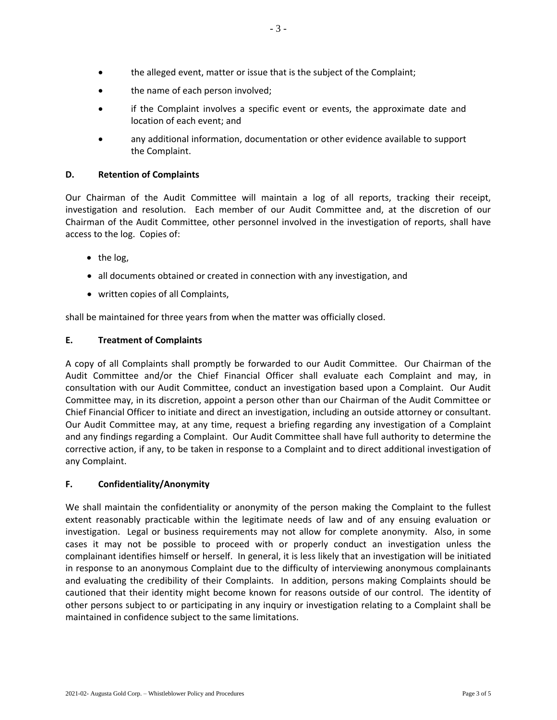- the alleged event, matter or issue that is the subject of the Complaint;
- the name of each person involved;
- if the Complaint involves a specific event or events, the approximate date and location of each event; and
- any additional information, documentation or other evidence available to support the Complaint.

# **D. Retention of Complaints**

Our Chairman of the Audit Committee will maintain a log of all reports, tracking their receipt, investigation and resolution. Each member of our Audit Committee and, at the discretion of our Chairman of the Audit Committee, other personnel involved in the investigation of reports, shall have access to the log. Copies of:

- $\bullet$  the log,
- all documents obtained or created in connection with any investigation, and
- written copies of all Complaints,

shall be maintained for three years from when the matter was officially closed.

# **E. Treatment of Complaints**

A copy of all Complaints shall promptly be forwarded to our Audit Committee. Our Chairman of the Audit Committee and/or the Chief Financial Officer shall evaluate each Complaint and may, in consultation with our Audit Committee, conduct an investigation based upon a Complaint. Our Audit Committee may, in its discretion, appoint a person other than our Chairman of the Audit Committee or Chief Financial Officer to initiate and direct an investigation, including an outside attorney or consultant. Our Audit Committee may, at any time, request a briefing regarding any investigation of a Complaint and any findings regarding a Complaint. Our Audit Committee shall have full authority to determine the corrective action, if any, to be taken in response to a Complaint and to direct additional investigation of any Complaint.

## **F. Confidentiality/Anonymity**

We shall maintain the confidentiality or anonymity of the person making the Complaint to the fullest extent reasonably practicable within the legitimate needs of law and of any ensuing evaluation or investigation. Legal or business requirements may not allow for complete anonymity. Also, in some cases it may not be possible to proceed with or properly conduct an investigation unless the complainant identifies himself or herself. In general, it is less likely that an investigation will be initiated in response to an anonymous Complaint due to the difficulty of interviewing anonymous complainants and evaluating the credibility of their Complaints. In addition, persons making Complaints should be cautioned that their identity might become known for reasons outside of our control. The identity of other persons subject to or participating in any inquiry or investigation relating to a Complaint shall be maintained in confidence subject to the same limitations.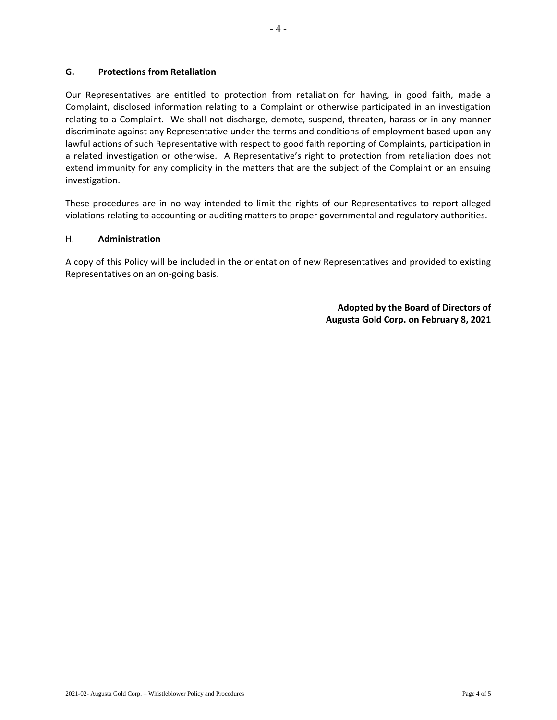**G. Protections from Retaliation**

Our Representatives are entitled to protection from retaliation for having, in good faith, made a Complaint, disclosed information relating to a Complaint or otherwise participated in an investigation relating to a Complaint. We shall not discharge, demote, suspend, threaten, harass or in any manner discriminate against any Representative under the terms and conditions of employment based upon any lawful actions of such Representative with respect to good faith reporting of Complaints, participation in a related investigation or otherwise. A Representative's right to protection from retaliation does not extend immunity for any complicity in the matters that are the subject of the Complaint or an ensuing investigation.

These procedures are in no way intended to limit the rights of our Representatives to report alleged violations relating to accounting or auditing matters to proper governmental and regulatory authorities.

## H. **Administration**

A copy of this Policy will be included in the orientation of new Representatives and provided to existing Representatives on an on-going basis.

> **Adopted by the Board of Directors of Augusta Gold Corp. on February 8, 2021**